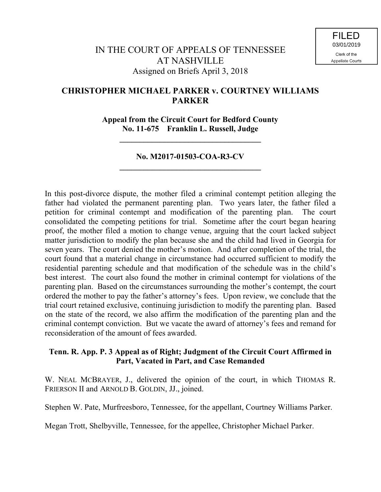# **CHRISTOPHER MICHAEL PARKER v. COURTNEY WILLIAMS PARKER**

**Appeal from the Circuit Court for Bedford County No. 11-675 Franklin L. Russell, Judge**

**\_\_\_\_\_\_\_\_\_\_\_\_\_\_\_\_\_\_\_\_\_\_\_\_\_\_\_\_\_\_\_\_\_\_\_**

## **No. M2017-01503-COA-R3-CV \_\_\_\_\_\_\_\_\_\_\_\_\_\_\_\_\_\_\_\_\_\_\_\_\_\_\_\_\_\_\_\_\_\_\_**

In this post-divorce dispute, the mother filed a criminal contempt petition alleging the father had violated the permanent parenting plan. Two years later, the father filed a petition for criminal contempt and modification of the parenting plan. The court consolidated the competing petitions for trial. Sometime after the court began hearing proof, the mother filed a motion to change venue, arguing that the court lacked subject matter jurisdiction to modify the plan because she and the child had lived in Georgia for seven years. The court denied the mother's motion. And after completion of the trial, the court found that a material change in circumstance had occurred sufficient to modify the residential parenting schedule and that modification of the schedule was in the child's best interest. The court also found the mother in criminal contempt for violations of the parenting plan. Based on the circumstances surrounding the mother's contempt, the court ordered the mother to pay the father's attorney's fees. Upon review, we conclude that the trial court retained exclusive, continuing jurisdiction to modify the parenting plan. Based on the state of the record, we also affirm the modification of the parenting plan and the criminal contempt conviction. But we vacate the award of attorney's fees and remand for reconsideration of the amount of fees awarded.

## **Tenn. R. App. P. 3 Appeal as of Right; Judgment of the Circuit Court Affirmed in Part, Vacated in Part, and Case Remanded**

W. NEAL MCBRAYER, J., delivered the opinion of the court, in which THOMAS R. FRIERSON II and ARNOLD B. GOLDIN, JJ., joined.

Stephen W. Pate, Murfreesboro, Tennessee, for the appellant, Courtney Williams Parker.

Megan Trott, Shelbyville, Tennessee, for the appellee, Christopher Michael Parker.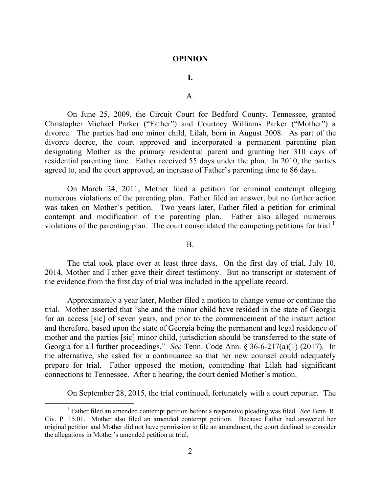### **OPINION**

## **I.**

## A.

On June 25, 2009, the Circuit Court for Bedford County, Tennessee, granted Christopher Michael Parker ("Father") and Courtney Williams Parker ("Mother") a divorce. The parties had one minor child, Lilah, born in August 2008. As part of the divorce decree, the court approved and incorporated a permanent parenting plan designating Mother as the primary residential parent and granting her 310 days of residential parenting time. Father received 55 days under the plan. In 2010, the parties agreed to, and the court approved, an increase of Father's parenting time to 86 days.

On March 24, 2011, Mother filed a petition for criminal contempt alleging numerous violations of the parenting plan. Father filed an answer, but no further action was taken on Mother's petition. Two years later, Father filed a petition for criminal contempt and modification of the parenting plan. Father also alleged numerous violations of the parenting plan. The court consolidated the competing petitions for trial.<sup>1</sup>

#### B.

The trial took place over at least three days. On the first day of trial, July 10, 2014, Mother and Father gave their direct testimony. But no transcript or statement of the evidence from the first day of trial was included in the appellate record.

Approximately a year later, Mother filed a motion to change venue or continue the trial. Mother asserted that "she and the minor child have resided in the state of Georgia for an access [sic] of seven years, and prior to the commencement of the instant action and therefore, based upon the state of Georgia being the permanent and legal residence of mother and the parties [sic] minor child, jurisdiction should be transferred to the state of Georgia for all further proceedings." *See* Tenn. Code Ann. § 36-6-217(a)(1) (2017). In the alternative, she asked for a continuance so that her new counsel could adequately prepare for trial. Father opposed the motion, contending that Lilah had significant connections to Tennessee. After a hearing, the court denied Mother's motion.

On September 28, 2015, the trial continued, fortunately with a court reporter. The

 $\overline{a}$ 

<sup>1</sup> Father filed an amended contempt petition before a responsive pleading was filed. *See* Tenn. R. Civ. P. 15.01. Mother also filed an amended contempt petition. Because Father had answered her original petition and Mother did not have permission to file an amendment, the court declined to consider the allegations in Mother's amended petition at trial.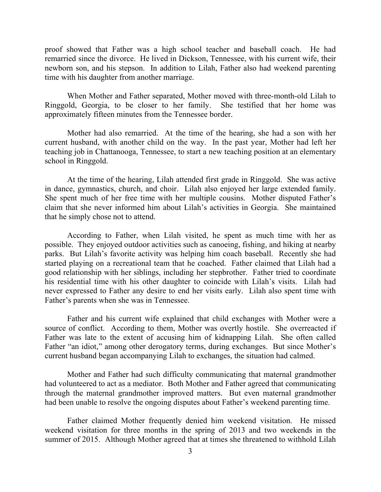proof showed that Father was a high school teacher and baseball coach. He had remarried since the divorce. He lived in Dickson, Tennessee, with his current wife, their newborn son, and his stepson. In addition to Lilah, Father also had weekend parenting time with his daughter from another marriage.

When Mother and Father separated, Mother moved with three-month-old Lilah to Ringgold, Georgia, to be closer to her family. She testified that her home was approximately fifteen minutes from the Tennessee border.

Mother had also remarried. At the time of the hearing, she had a son with her current husband, with another child on the way. In the past year, Mother had left her teaching job in Chattanooga, Tennessee, to start a new teaching position at an elementary school in Ringgold.

At the time of the hearing, Lilah attended first grade in Ringgold. She was active in dance, gymnastics, church, and choir. Lilah also enjoyed her large extended family. She spent much of her free time with her multiple cousins. Mother disputed Father's claim that she never informed him about Lilah's activities in Georgia. She maintained that he simply chose not to attend.

According to Father, when Lilah visited, he spent as much time with her as possible. They enjoyed outdoor activities such as canoeing, fishing, and hiking at nearby parks. But Lilah's favorite activity was helping him coach baseball. Recently she had started playing on a recreational team that he coached. Father claimed that Lilah had a good relationship with her siblings, including her stepbrother. Father tried to coordinate his residential time with his other daughter to coincide with Lilah's visits. Lilah had never expressed to Father any desire to end her visits early. Lilah also spent time with Father's parents when she was in Tennessee.

Father and his current wife explained that child exchanges with Mother were a source of conflict. According to them, Mother was overtly hostile. She overreacted if Father was late to the extent of accusing him of kidnapping Lilah. She often called Father "an idiot," among other derogatory terms, during exchanges. But since Mother's current husband began accompanying Lilah to exchanges, the situation had calmed.

Mother and Father had such difficulty communicating that maternal grandmother had volunteered to act as a mediator. Both Mother and Father agreed that communicating through the maternal grandmother improved matters. But even maternal grandmother had been unable to resolve the ongoing disputes about Father's weekend parenting time.

Father claimed Mother frequently denied him weekend visitation. He missed weekend visitation for three months in the spring of 2013 and two weekends in the summer of 2015. Although Mother agreed that at times she threatened to withhold Lilah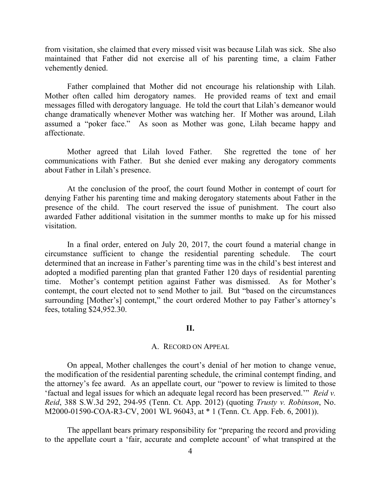from visitation, she claimed that every missed visit was because Lilah was sick. She also maintained that Father did not exercise all of his parenting time, a claim Father vehemently denied.

Father complained that Mother did not encourage his relationship with Lilah. Mother often called him derogatory names. He provided reams of text and email messages filled with derogatory language. He told the court that Lilah's demeanor would change dramatically whenever Mother was watching her. If Mother was around, Lilah assumed a "poker face." As soon as Mother was gone, Lilah became happy and affectionate.

Mother agreed that Lilah loved Father. She regretted the tone of her communications with Father. But she denied ever making any derogatory comments about Father in Lilah's presence.

At the conclusion of the proof, the court found Mother in contempt of court for denying Father his parenting time and making derogatory statements about Father in the presence of the child. The court reserved the issue of punishment. The court also awarded Father additional visitation in the summer months to make up for his missed visitation.

In a final order, entered on July 20, 2017, the court found a material change in circumstance sufficient to change the residential parenting schedule. The court determined that an increase in Father's parenting time was in the child's best interest and adopted a modified parenting plan that granted Father 120 days of residential parenting time. Mother's contempt petition against Father was dismissed. As for Mother's contempt, the court elected not to send Mother to jail. But "based on the circumstances surrounding [Mother's] contempt," the court ordered Mother to pay Father's attorney's fees, totaling \$24,952.30.

## **II.**

#### A. RECORD ON APPEAL

On appeal, Mother challenges the court's denial of her motion to change venue, the modification of the residential parenting schedule, the criminal contempt finding, and the attorney's fee award. As an appellate court, our "power to review is limited to those 'factual and legal issues for which an adequate legal record has been preserved.'" *Reid v. Reid*, 388 S.W.3d 292, 294-95 (Tenn. Ct. App. 2012) (quoting *Trusty v. Robinson*, No. M2000-01590-COA-R3-CV, 2001 WL 96043, at \* 1 (Tenn. Ct. App. Feb. 6, 2001)).

The appellant bears primary responsibility for "preparing the record and providing to the appellate court a 'fair, accurate and complete account' of what transpired at the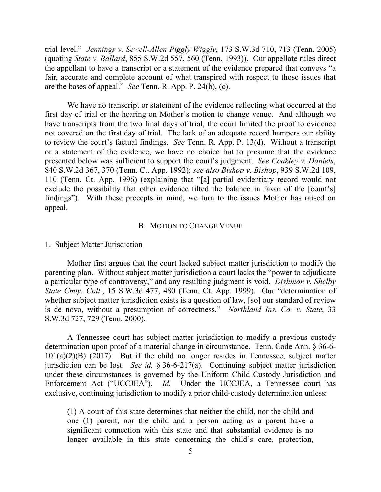trial level." *Jennings v. Sewell-Allen Piggly Wiggly*, 173 S.W.3d 710, 713 (Tenn. 2005) (quoting *State v. Ballard*, 855 S.W.2d 557, 560 (Tenn. 1993)). Our appellate rules direct the appellant to have a transcript or a statement of the evidence prepared that conveys "a fair, accurate and complete account of what transpired with respect to those issues that are the bases of appeal." *See* Tenn. R. App. P. 24(b), (c).

We have no transcript or statement of the evidence reflecting what occurred at the first day of trial or the hearing on Mother's motion to change venue. And although we have transcripts from the two final days of trial, the court limited the proof to evidence not covered on the first day of trial. The lack of an adequate record hampers our ability to review the court's factual findings. *See* Tenn. R. App. P. 13(d). Without a transcript or a statement of the evidence, we have no choice but to presume that the evidence presented below was sufficient to support the court's judgment. *See Coakley v. Daniels*, 840 S.W.2d 367, 370 (Tenn. Ct. App. 1992); *see also Bishop v. Bishop*, 939 S.W.2d 109, 110 (Tenn. Ct. App. 1996) (explaining that "[a] partial evidentiary record would not exclude the possibility that other evidence tilted the balance in favor of the [court's] findings"). With these precepts in mind, we turn to the issues Mother has raised on appeal.

## B. MOTION TO CHANGE VENUE

## 1. Subject Matter Jurisdiction

Mother first argues that the court lacked subject matter jurisdiction to modify the parenting plan. Without subject matter jurisdiction a court lacks the "power to adjudicate a particular type of controversy," and any resulting judgment is void. *Dishmon v. Shelby State Cmty. Coll.*, 15 S.W.3d 477, 480 (Tenn. Ct. App. 1999). Our "determination of whether subject matter jurisdiction exists is a question of law, [so] our standard of review is de novo, without a presumption of correctness." *Northland Ins. Co. v. State*, 33 S.W.3d 727, 729 (Tenn. 2000).

A Tennessee court has subject matter jurisdiction to modify a previous custody determination upon proof of a material change in circumstance. Tenn. Code Ann. § 36-6- 101(a)(2)(B) (2017). But if the child no longer resides in Tennessee, subject matter jurisdiction can be lost. *See id.* § 36-6-217(a). Continuing subject matter jurisdiction under these circumstances is governed by the Uniform Child Custody Jurisdiction and Enforcement Act ("UCCJEA"). *Id.* Under the UCCJEA, a Tennessee court has exclusive, continuing jurisdiction to modify a prior child-custody determination unless:

(1) A court of this state determines that neither the child, nor the child and one (1) parent, nor the child and a person acting as a parent have a significant connection with this state and that substantial evidence is no longer available in this state concerning the child's care, protection,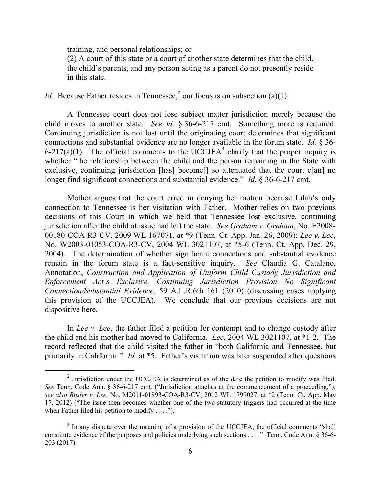training, and personal relationships; or

 $\overline{a}$ 

(2) A court of this state or a court of another state determines that the child, the child's parents, and any person acting as a parent do not presently reside in this state.

*Id.* Because Father resides in Tennessee,<sup>2</sup> our focus is on subsection (a)(1).

A Tennessee court does not lose subject matter jurisdiction merely because the child moves to another state. *See Id.* § 36-6-217 cmt. Something more is required. Continuing jurisdiction is not lost until the originating court determines that significant connections and substantial evidence are no longer available in the forum state. *Id.* § 36- 6-217(a)(1). The official comments to the UCCJEA<sup>3</sup> clarify that the proper inquiry is whether "the relationship between the child and the person remaining in the State with exclusive, continuing jurisdiction [has] become[] so attenuated that the court c[an] no longer find significant connections and substantial evidence." *Id.* § 36-6-217 cmt.

Mother argues that the court erred in denying her motion because Lilah's only connection to Tennessee is her visitation with Father. Mother relies on two previous decisions of this Court in which we held that Tennessee lost exclusive, continuing jurisdiction after the child at issue had left the state. *See Graham v. Graham*, No. E2008- 00180-COA-R3-CV, 2009 WL 167071, at \*9 (Tenn. Ct. App. Jan. 26, 2009); *Lee v. Lee*, No. W2003-01053-COA-R3-CV, 2004 WL 3021107, at \*5-6 (Tenn. Ct. App. Dec. 29, 2004). The determination of whether significant connections and substantial evidence remain in the forum state is a fact-sensitive inquiry. *See* Claudia G. Catalano, Annotation, *Construction and Application of Uniform Child Custody Jurisdiction and Enforcement Act's Exclusive, Continuing Jurisdiction Provision—No Significant Connection/Substantial Evidence*, 59 A.L.R.6th 161 (2010) (discussing cases applying this provision of the UCCJEA). We conclude that our previous decisions are not dispositive here.

In *Lee v. Lee*, the father filed a petition for contempt and to change custody after the child and his mother had moved to California. *Lee*, 2004 WL 3021107, at \*1-2. The record reflected that the child visited the father in "both California and Tennessee, but primarily in California." *Id.* at \*5. Father's visitation was later suspended after questions

 $2$  Jurisdiction under the UCCJEA is determined as of the date the petition to modify was filed. *See* Tenn. Code Ann. § 36-6-217 cmt. ("Jurisdiction attaches at the commencement of a proceeding."); *see also Busler v. Lee*, No. M2011-01893-COA-R3-CV, 2012 WL 1799027, at \*2 (Tenn. Ct. App. May 17, 2012) ("The issue then becomes whether one of the two statutory triggers had occurred at the time when Father filed his petition to modify  $\dots$ .").

 $3$  In any dispute over the meaning of a provision of the UCCJEA, the official comments "shall constitute evidence of the purposes and policies underlying such sections . . . ." Tenn. Code Ann. § 36-6- 203 (2017).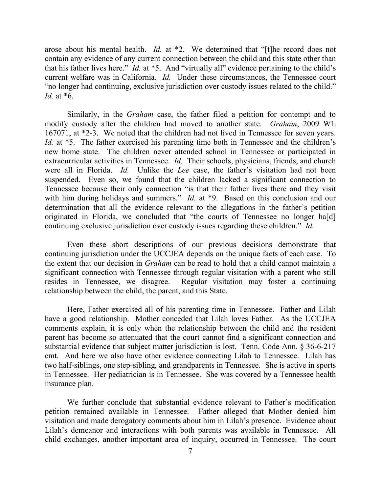arose about his mental health. *Id.* at \*2. We determined that "[t]he record does not contain any evidence of any current connection between the child and this state other than that his father lives here." *Id.* at \*5. And "virtually all" evidence pertaining to the child's current welfare was in California. *Id.* Under these circumstances, the Tennessee court "no longer had continuing, exclusive jurisdiction over custody issues related to the child." *Id.* at \*6.

Similarly, in the *Graham* case, the father filed a petition for contempt and to modify custody after the children had moved to another state. *Graham*, 2009 WL 167071, at \*2-3. We noted that the children had not lived in Tennessee for seven years. *Id.* at \*5. The father exercised his parenting time both in Tennessee and the children's new home state. The children never attended school in Tennessee or participated in extracurricular activities in Tennessee. *Id.* Their schools, physicians, friends, and church were all in Florida. *Id.* Unlike the *Lee* case, the father's visitation had not been suspended. Even so, we found that the children lacked a significant connection to Tennessee because their only connection "is that their father lives there and they visit with him during holidays and summers." *Id.* at \*9. Based on this conclusion and our determination that all the evidence relevant to the allegations in the father's petition originated in Florida, we concluded that "the courts of Tennessee no longer ha[d] continuing exclusive jurisdiction over custody issues regarding these children." *Id.*

Even these short descriptions of our previous decisions demonstrate that continuing jurisdiction under the UCCJEA depends on the unique facts of each case. To the extent that our decision in *Graham* can be read to hold that a child cannot maintain a significant connection with Tennessee through regular visitation with a parent who still resides in Tennessee, we disagree. Regular visitation may foster a continuing relationship between the child, the parent, and this State.

Here, Father exercised all of his parenting time in Tennessee. Father and Lilah have a good relationship. Mother conceded that Lilah loves Father. As the UCCJEA comments explain, it is only when the relationship between the child and the resident parent has become so attenuated that the court cannot find a significant connection and substantial evidence that subject matter jurisdiction is lost. Tenn. Code Ann. § 36-6-217 cmt. And here we also have other evidence connecting Lilah to Tennessee. Lilah has two half-siblings, one step-sibling, and grandparents in Tennessee. She is active in sports in Tennessee. Her pediatrician is in Tennessee. She was covered by a Tennessee health insurance plan.

We further conclude that substantial evidence relevant to Father's modification petition remained available in Tennessee. Father alleged that Mother denied him visitation and made derogatory comments about him in Lilah's presence. Evidence about Lilah's demeanor and interactions with both parents was available in Tennessee. All child exchanges, another important area of inquiry, occurred in Tennessee. The court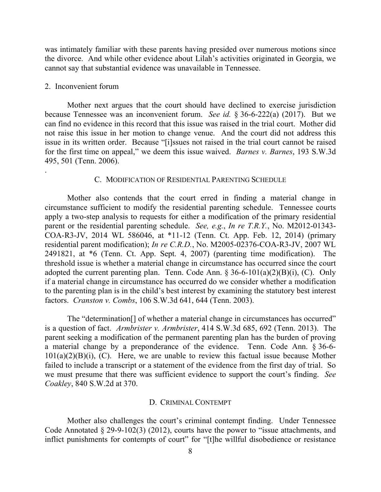was intimately familiar with these parents having presided over numerous motions since the divorce. And while other evidence about Lilah's activities originated in Georgia, we cannot say that substantial evidence was unavailable in Tennessee.

## 2. Inconvenient forum

.

Mother next argues that the court should have declined to exercise jurisdiction because Tennessee was an inconvenient forum. *See id.* § 36-6-222(a) (2017). But we can find no evidence in this record that this issue was raised in the trial court. Mother did not raise this issue in her motion to change venue. And the court did not address this issue in its written order. Because "[i]ssues not raised in the trial court cannot be raised for the first time on appeal," we deem this issue waived. *Barnes v. Barnes*, 193 S.W.3d 495, 501 (Tenn. 2006).

### C. MODIFICATION OF RESIDENTIAL PARENTING SCHEDULE

Mother also contends that the court erred in finding a material change in circumstance sufficient to modify the residential parenting schedule. Tennessee courts apply a two-step analysis to requests for either a modification of the primary residential parent or the residential parenting schedule. *See, e.g.*, *In re T.R.Y.*, No. M2012-01343- COA-R3-JV, 2014 WL 586046, at \*11-12 (Tenn. Ct. App. Feb. 12, 2014) (primary residential parent modification); *In re C.R.D.*, No. M2005-02376-COA-R3-JV, 2007 WL 2491821, at \*6 (Tenn. Ct. App. Sept. 4, 2007) (parenting time modification). The threshold issue is whether a material change in circumstance has occurred since the court adopted the current parenting plan. Tenn. Code Ann.  $\S 36-6-101(a)(2)(B)(i)$ , (C). Only if a material change in circumstance has occurred do we consider whether a modification to the parenting plan is in the child's best interest by examining the statutory best interest factors. *Cranston v. Combs*, 106 S.W.3d 641, 644 (Tenn. 2003).

The "determination[] of whether a material change in circumstances has occurred" is a question of fact. *Armbrister v. Armbrister*, 414 S.W.3d 685, 692 (Tenn. 2013). The parent seeking a modification of the permanent parenting plan has the burden of proving a material change by a preponderance of the evidence. Tenn. Code Ann. § 36-6-  $101(a)(2)(B)(i)$ , (C). Here, we are unable to review this factual issue because Mother failed to include a transcript or a statement of the evidence from the first day of trial. So we must presume that there was sufficient evidence to support the court's finding. *See Coakley*, 840 S.W.2d at 370.

#### D. CRIMINAL CONTEMPT

Mother also challenges the court's criminal contempt finding. Under Tennessee Code Annotated § 29-9-102(3) (2012), courts have the power to "issue attachments, and inflict punishments for contempts of court" for "[t]he willful disobedience or resistance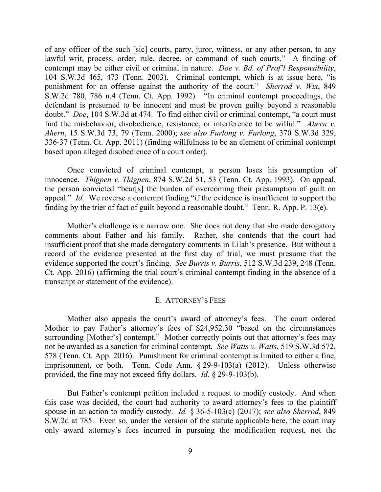of any officer of the such [sic] courts, party, juror, witness, or any other person, to any lawful writ, process, order, rule, decree, or command of such courts." A finding of contempt may be either civil or criminal in nature. *Doe v. Bd. of Prof'l Responsibility*, 104 S.W.3d 465, 473 (Tenn. 2003). Criminal contempt, which is at issue here, "is punishment for an offense against the authority of the court." *Sherrod v. Wix*, 849 S.W.2d 780, 786 n.4 (Tenn. Ct. App. 1992). "In criminal contempt proceedings, the defendant is presumed to be innocent and must be proven guilty beyond a reasonable doubt." *Doe*, 104 S.W.3d at 474. To find either civil or criminal contempt, "a court must find the misbehavior, disobedience, resistance, or interference to be wilful." *Ahern v. Ahern*, 15 S.W.3d 73, 79 (Tenn. 2000); *see also Furlong v. Furlong*, 370 S.W.3d 329, 336-37 (Tenn. Ct. App. 2011) (finding willfulness to be an element of criminal contempt based upon alleged disobedience of a court order).

Once convicted of criminal contempt, a person loses his presumption of innocence. *Thigpen v. Thigpen*, 874 S.W.2d 51, 53 (Tenn. Ct. App. 1993). On appeal, the person convicted "bear[s] the burden of overcoming their presumption of guilt on appeal." *Id.* We reverse a contempt finding "if the evidence is insufficient to support the finding by the trier of fact of guilt beyond a reasonable doubt." Tenn. R. App. P. 13(e).

Mother's challenge is a narrow one. She does not deny that she made derogatory comments about Father and his family. Rather, she contends that the court had insufficient proof that she made derogatory comments in Lilah's presence. But without a record of the evidence presented at the first day of trial, we must presume that the evidence supported the court's finding. *See Burris v. Burris*, 512 S.W.3d 239, 248 (Tenn. Ct. App. 2016) (affirming the trial court's criminal contempt finding in the absence of a transcript or statement of the evidence).

#### E. ATTORNEY'S FEES

Mother also appeals the court's award of attorney's fees. The court ordered Mother to pay Father's attorney's fees of \$24,952.30 "based on the circumstances surrounding [Mother's] contempt." Mother correctly points out that attorney's fees may not be awarded as a sanction for criminal contempt. *See Watts v. Watts*, 519 S.W.3d 572, 578 (Tenn. Ct. App. 2016). Punishment for criminal contempt is limited to either a fine, imprisonment, or both. Tenn. Code Ann. § 29-9-103(a) (2012). Unless otherwise provided, the fine may not exceed fifty dollars. *Id.* § 29-9-103(b).

But Father's contempt petition included a request to modify custody. And when this case was decided, the court had authority to award attorney's fees to the plaintiff spouse in an action to modify custody. *Id.* § 36-5-103(c) (2017); *see also Sherrod*, 849 S.W.2d at 785. Even so, under the version of the statute applicable here, the court may only award attorney's fees incurred in pursuing the modification request, not the